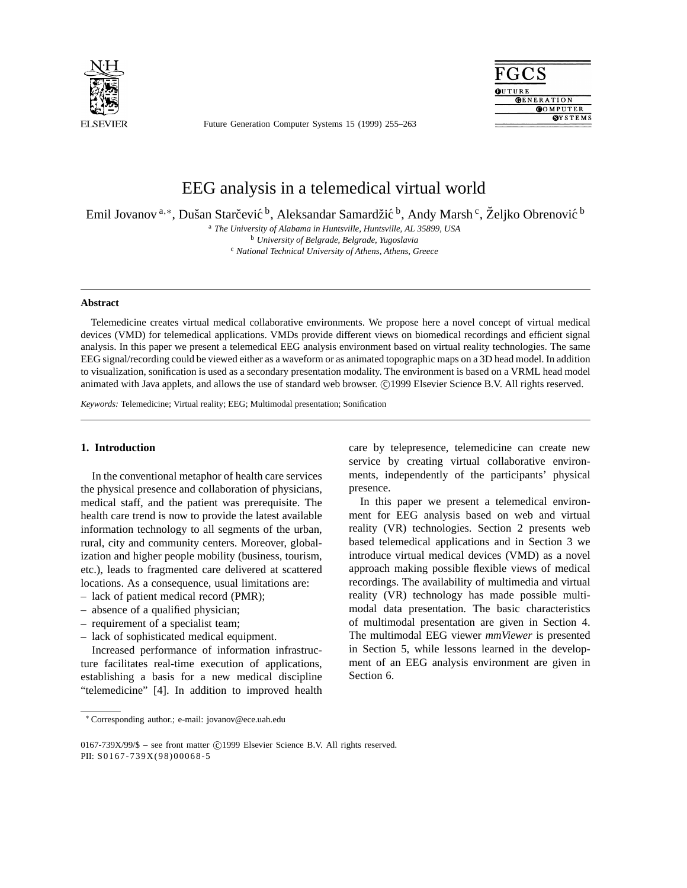

Future Generation Computer Systems 15 (1999) 255–263



# EEG analysis in a telemedical virtual world

Emil Jovanov<sup>a,∗</sup>, Dušan Starčević <sup>b</sup>, Aleksandar Samardžić <sup>b</sup>, Andy Marsh <sup>c</sup>, Željko Obrenović <sup>b</sup>

<sup>a</sup> *The University of Alabama in Huntsville, Huntsville, AL 35899, USA* <sup>b</sup> *University of Belgrade, Belgrade, Yugoslavia*

<sup>c</sup> *National Technical University of Athens, Athens, Greece*

# **Abstract**

Telemedicine creates virtual medical collaborative environments. We propose here a novel concept of virtual medical devices (VMD) for telemedical applications. VMDs provide different views on biomedical recordings and efficient signal analysis. In this paper we present a telemedical EEG analysis environment based on virtual reality technologies. The same EEG signal/recording could be viewed either as a waveform or as animated topographic maps on a 3D head model. In addition to visualization, sonification is used as a secondary presentation modality. The environment is based on a VRML head model animated with Java applets, and allows the use of standard web browser. ©1999 Elsevier Science B.V. All rights reserved.

*Keywords:* Telemedicine; Virtual reality; EEG; Multimodal presentation; Sonification

# **1. Introduction**

In the conventional metaphor of health care services the physical presence and collaboration of physicians, medical staff, and the patient was prerequisite. The health care trend is now to provide the latest available information technology to all segments of the urban, rural, city and community centers. Moreover, globalization and higher people mobility (business, tourism, etc.), leads to fragmented care delivered at scattered locations. As a consequence, usual limitations are:

- lack of patient medical record (PMR);
- absence of a qualified physician;
- requirement of a specialist team;
- lack of sophisticated medical equipment.

Increased performance of information infrastructure facilitates real-time execution of applications, establishing a basis for a new medical discipline "telemedicine" [4]. In addition to improved health care by telepresence, telemedicine can create new service by creating virtual collaborative environments, independently of the participants' physical presence.

In this paper we present a telemedical environment for EEG analysis based on web and virtual reality (VR) technologies. Section 2 presents web based telemedical applications and in Section 3 we introduce virtual medical devices (VMD) as a novel approach making possible flexible views of medical recordings. The availability of multimedia and virtual reality (VR) technology has made possible multimodal data presentation. The basic characteristics of multimodal presentation are given in Section 4. The multimodal EEG viewer *mmViewer* is presented in Section 5, while lessons learned in the development of an EEG analysis environment are given in Section 6.

<sup>∗</sup> Corresponding author.; e-mail: jovanov@ece.uah.edu

<sup>0167-739</sup>X/99/\$ - see front matter ©1999 Elsevier Science B.V. All rights reserved. PII: S0167-739X(98)00068-5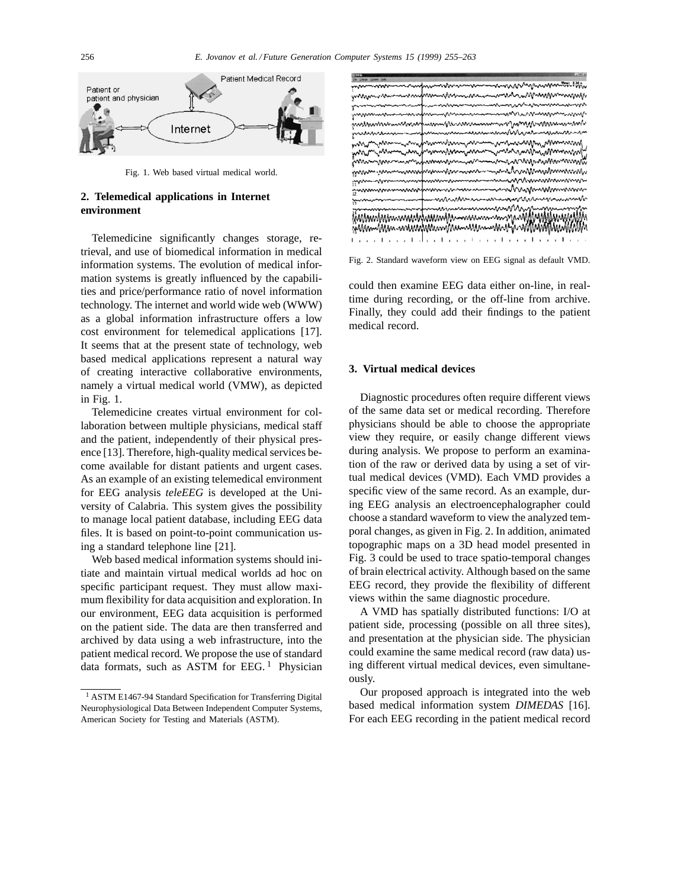

Fig. 1. Web based virtual medical world.

# **2. Telemedical applications in Internet environment**

Telemedicine significantly changes storage, retrieval, and use of biomedical information in medical information systems. The evolution of medical information systems is greatly influenced by the capabilities and price/performance ratio of novel information technology. The internet and world wide web (WWW) as a global information infrastructure offers a low cost environment for telemedical applications [17]. It seems that at the present state of technology, web based medical applications represent a natural way of creating interactive collaborative environments, namely a virtual medical world (VMW), as depicted in Fig. 1.

Telemedicine creates virtual environment for collaboration between multiple physicians, medical staff and the patient, independently of their physical presence [13]. Therefore, high-quality medical services become available for distant patients and urgent cases. As an example of an existing telemedical environment for EEG analysis *teleEEG* is developed at the University of Calabria. This system gives the possibility to manage local patient database, including EEG data files. It is based on point-to-point communication using a standard telephone line [21].

Web based medical information systems should initiate and maintain virtual medical worlds ad hoc on specific participant request. They must allow maximum flexibility for data acquisition and exploration. In our environment, EEG data acquisition is performed on the patient side. The data are then transferred and archived by data using a web infrastructure, into the patient medical record. We propose the use of standard data formats, such as ASTM for EEG.<sup>1</sup> Physician



Fig. 2. Standard waveform view on EEG signal as default VMD.

could then examine EEG data either on-line, in realtime during recording, or the off-line from archive. Finally, they could add their findings to the patient medical record.

#### **3. Virtual medical devices**

Diagnostic procedures often require different views of the same data set or medical recording. Therefore physicians should be able to choose the appropriate view they require, or easily change different views during analysis. We propose to perform an examination of the raw or derived data by using a set of virtual medical devices (VMD). Each VMD provides a specific view of the same record. As an example, during EEG analysis an electroencephalographer could choose a standard waveform to view the analyzed temporal changes, as given in Fig. 2. In addition, animated topographic maps on a 3D head model presented in Fig. 3 could be used to trace spatio-temporal changes of brain electrical activity. Although based on the same EEG record, they provide the flexibility of different views within the same diagnostic procedure.

A VMD has spatially distributed functions: I/O at patient side, processing (possible on all three sites), and presentation at the physician side. The physician could examine the same medical record (raw data) using different virtual medical devices, even simultaneously.

Our proposed approach is integrated into the web based medical information system *DIMEDAS* [16]. For each EEG recording in the patient medical record

<sup>1</sup> ASTM E1467-94 Standard Specification for Transferring Digital Neurophysiological Data Between Independent Computer Systems, American Society for Testing and Materials (ASTM).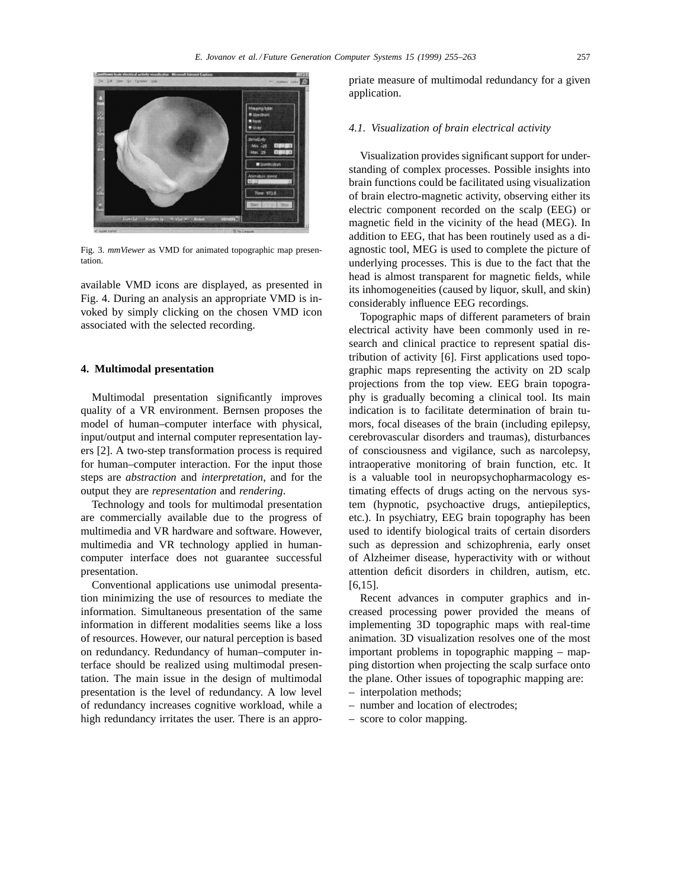

Fig. 3. *mmViewer* as VMD for animated topographic map presentation.

available VMD icons are displayed, as presented in Fig. 4. During an analysis an appropriate VMD is invoked by simply clicking on the chosen VMD icon associated with the selected recording.

## **4. Multimodal presentation**

Multimodal presentation significantly improves quality of a VR environment. Bernsen proposes the model of human–computer interface with physical, input/output and internal computer representation layers [2]. A two-step transformation process is required for human–computer interaction. For the input those steps are *abstraction* and *interpretation*, and for the output they are *representation* and *rendering*.

Technology and tools for multimodal presentation are commercially available due to the progress of multimedia and VR hardware and software. However, multimedia and VR technology applied in humancomputer interface does not guarantee successful presentation.

Conventional applications use unimodal presentation minimizing the use of resources to mediate the information. Simultaneous presentation of the same information in different modalities seems like a loss of resources. However, our natural perception is based on redundancy. Redundancy of human–computer interface should be realized using multimodal presentation. The main issue in the design of multimodal presentation is the level of redundancy. A low level of redundancy increases cognitive workload, while a high redundancy irritates the user. There is an appropriate measure of multimodal redundancy for a given application.

# *4.1. Visualization of brain electrical activity*

Visualization provides significant support for understanding of complex processes. Possible insights into brain functions could be facilitated using visualization of brain electro-magnetic activity, observing either its electric component recorded on the scalp (EEG) or magnetic field in the vicinity of the head (MEG). In addition to EEG, that has been routinely used as a diagnostic tool, MEG is used to complete the picture of underlying processes. This is due to the fact that the head is almost transparent for magnetic fields, while its inhomogeneities (caused by liquor, skull, and skin) considerably influence EEG recordings.

Topographic maps of different parameters of brain electrical activity have been commonly used in research and clinical practice to represent spatial distribution of activity [6]. First applications used topographic maps representing the activity on 2D scalp projections from the top view. EEG brain topography is gradually becoming a clinical tool. Its main indication is to facilitate determination of brain tumors, focal diseases of the brain (including epilepsy, cerebrovascular disorders and traumas), disturbances of consciousness and vigilance, such as narcolepsy, intraoperative monitoring of brain function, etc. It is a valuable tool in neuropsychopharmacology estimating effects of drugs acting on the nervous system (hypnotic, psychoactive drugs, antiepileptics, etc.). In psychiatry, EEG brain topography has been used to identify biological traits of certain disorders such as depression and schizophrenia, early onset of Alzheimer disease, hyperactivity with or without attention deficit disorders in children, autism, etc. [6,15].

Recent advances in computer graphics and increased processing power provided the means of implementing 3D topographic maps with real-time animation. 3D visualization resolves one of the most important problems in topographic mapping – mapping distortion when projecting the scalp surface onto the plane. Other issues of topographic mapping are:

- interpolation methods;
- number and location of electrodes;
- score to color mapping.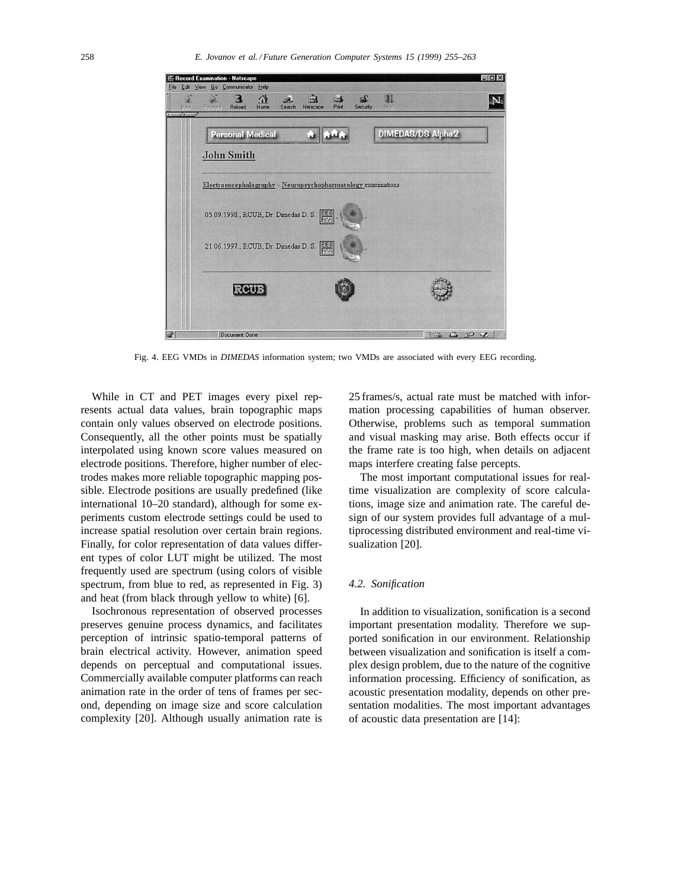

Fig. 4. EEG VMDs in *DIMEDAS* information system; two VMDs are associated with every EEG recording.

While in CT and PET images every pixel represents actual data values, brain topographic maps contain only values observed on electrode positions. Consequently, all the other points must be spatially interpolated using known score values measured on electrode positions. Therefore, higher number of electrodes makes more reliable topographic mapping possible. Electrode positions are usually predefined (like international 10–20 standard), although for some experiments custom electrode settings could be used to increase spatial resolution over certain brain regions. Finally, for color representation of data values different types of color LUT might be utilized. The most frequently used are spectrum (using colors of visible spectrum, from blue to red, as represented in Fig. 3) and heat (from black through yellow to white) [6].

Isochronous representation of observed processes preserves genuine process dynamics, and facilitates perception of intrinsic spatio-temporal patterns of brain electrical activity. However, animation speed depends on perceptual and computational issues. Commercially available computer platforms can reach animation rate in the order of tens of frames per second, depending on image size and score calculation complexity [20]. Although usually animation rate is

25 frames/s, actual rate must be matched with information processing capabilities of human observer. Otherwise, problems such as temporal summation and visual masking may arise. Both effects occur if the frame rate is too high, when details on adjacent maps interfere creating false percepts.

The most important computational issues for realtime visualization are complexity of score calculations, image size and animation rate. The careful design of our system provides full advantage of a multiprocessing distributed environment and real-time visualization [20].

#### *4.2. Sonification*

In addition to visualization, sonification is a second important presentation modality. Therefore we supported sonification in our environment. Relationship between visualization and sonification is itself a complex design problem, due to the nature of the cognitive information processing. Efficiency of sonification, as acoustic presentation modality, depends on other presentation modalities. The most important advantages of acoustic data presentation are [14]: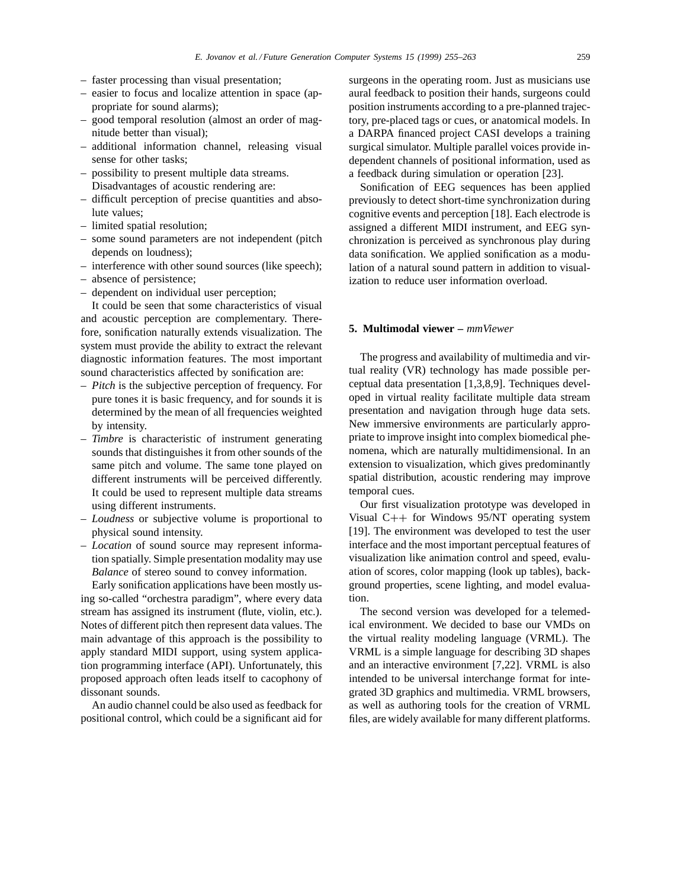- faster processing than visual presentation;
- easier to focus and localize attention in space (appropriate for sound alarms);
- good temporal resolution (almost an order of magnitude better than visual);
- additional information channel, releasing visual sense for other tasks;
- possibility to present multiple data streams. Disadvantages of acoustic rendering are:
- difficult perception of precise quantities and absolute values;
- limited spatial resolution;
- some sound parameters are not independent (pitch depends on loudness);
- interference with other sound sources (like speech);
- absence of persistence;
- dependent on individual user perception;

It could be seen that some characteristics of visual and acoustic perception are complementary. Therefore, sonification naturally extends visualization. The system must provide the ability to extract the relevant diagnostic information features. The most important sound characteristics affected by sonification are:

- *Pitch* is the subjective perception of frequency. For pure tones it is basic frequency, and for sounds it is determined by the mean of all frequencies weighted by intensity.
- *Timbre* is characteristic of instrument generating sounds that distinguishes it from other sounds of the same pitch and volume. The same tone played on different instruments will be perceived differently. It could be used to represent multiple data streams using different instruments.
- *Loudness* or subjective volume is proportional to physical sound intensity.
- *Location* of sound source may represent information spatially. Simple presentation modality may use *Balance* of stereo sound to convey information.

Early sonification applications have been mostly using so-called "orchestra paradigm", where every data stream has assigned its instrument (flute, violin, etc.). Notes of different pitch then represent data values. The main advantage of this approach is the possibility to apply standard MIDI support, using system application programming interface (API). Unfortunately, this proposed approach often leads itself to cacophony of dissonant sounds.

An audio channel could be also used as feedback for positional control, which could be a significant aid for

surgeons in the operating room. Just as musicians use aural feedback to position their hands, surgeons could position instruments according to a pre-planned trajectory, pre-placed tags or cues, or anatomical models. In a DARPA financed project CASI develops a training surgical simulator. Multiple parallel voices provide independent channels of positional information, used as a feedback during simulation or operation [23].

Sonification of EEG sequences has been applied previously to detect short-time synchronization during cognitive events and perception [18]. Each electrode is assigned a different MIDI instrument, and EEG synchronization is perceived as synchronous play during data sonification. We applied sonification as a modulation of a natural sound pattern in addition to visualization to reduce user information overload.

#### **5. Multimodal viewer –** *mmViewer*

The progress and availability of multimedia and virtual reality (VR) technology has made possible perceptual data presentation [1,3,8,9]. Techniques developed in virtual reality facilitate multiple data stream presentation and navigation through huge data sets. New immersive environments are particularly appropriate to improve insight into complex biomedical phenomena, which are naturally multidimensional. In an extension to visualization, which gives predominantly spatial distribution, acoustic rendering may improve temporal cues.

Our first visualization prototype was developed in Visual  $C++$  for Windows 95/NT operating system [19]. The environment was developed to test the user interface and the most important perceptual features of visualization like animation control and speed, evaluation of scores, color mapping (look up tables), background properties, scene lighting, and model evaluation.

The second version was developed for a telemedical environment. We decided to base our VMDs on the virtual reality modeling language (VRML). The VRML is a simple language for describing 3D shapes and an interactive environment [7,22]. VRML is also intended to be universal interchange format for integrated 3D graphics and multimedia. VRML browsers, as well as authoring tools for the creation of VRML files, are widely available for many different platforms.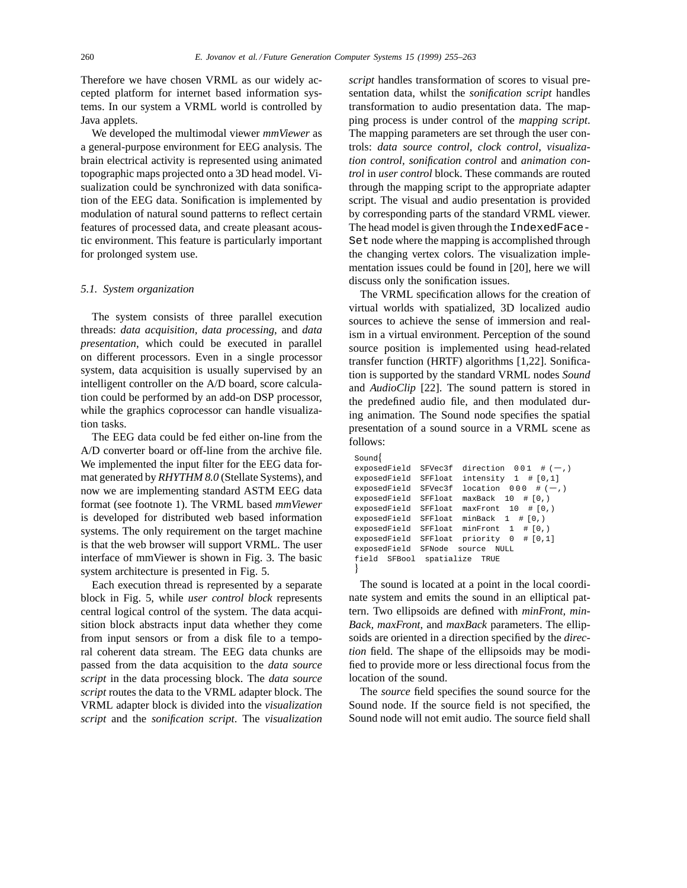Therefore we have chosen VRML as our widely accepted platform for internet based information systems. In our system a VRML world is controlled by Java applets.

We developed the multimodal viewer *mmViewer* as a general-purpose environment for EEG analysis. The brain electrical activity is represented using animated topographic maps projected onto a 3D head model. Visualization could be synchronized with data sonification of the EEG data. Sonification is implemented by modulation of natural sound patterns to reflect certain features of processed data, and create pleasant acoustic environment. This feature is particularly important for prolonged system use.

#### *5.1. System organization*

The system consists of three parallel execution threads: *data acquisition, data processing*, and *data presentation*, which could be executed in parallel on different processors. Even in a single processor system, data acquisition is usually supervised by an intelligent controller on the A/D board, score calculation could be performed by an add-on DSP processor, while the graphics coprocessor can handle visualization tasks.

The EEG data could be fed either on-line from the A/D converter board or off-line from the archive file. We implemented the input filter for the EEG data format generated by *RHYTHM 8.0* (Stellate Systems), and now we are implementing standard ASTM EEG data format (see footnote 1). The VRML based *mmViewer* is developed for distributed web based information systems. The only requirement on the target machine is that the web browser will support VRML. The user interface of mmViewer is shown in Fig. 3. The basic system architecture is presented in Fig. 5.

Each execution thread is represented by a separate block in Fig. 5, while *user control block* represents central logical control of the system. The data acquisition block abstracts input data whether they come from input sensors or from a disk file to a temporal coherent data stream. The EEG data chunks are passed from the data acquisition to the *data source script* in the data processing block. The *data source script* routes the data to the VRML adapter block. The VRML adapter block is divided into the *visualization script* and the *sonification script*. The *visualization*

*script* handles transformation of scores to visual presentation data, whilst the *sonification script* handles transformation to audio presentation data. The mapping process is under control of the *mapping script*. The mapping parameters are set through the user controls: *data source control, clock control, visualization control, sonification control* and *animation control* in *user control* block. These commands are routed through the mapping script to the appropriate adapter script. The visual and audio presentation is provided by corresponding parts of the standard VRML viewer. The head model is given through the IndexedFace-Set node where the mapping is accomplished through the changing vertex colors. The visualization implementation issues could be found in [20], here we will discuss only the sonification issues.

The VRML specification allows for the creation of virtual worlds with spatialized, 3D localized audio sources to achieve the sense of immersion and realism in a virtual environment. Perception of the sound source position is implemented using head-related transfer function (HRTF) algorithms [1,22]. Sonification is supported by the standard VRML nodes *Sound* and *AudioClip* [22]. The sound pattern is stored in the predefined audio file, and then modulated during animation. The Sound node specifies the spatial presentation of a sound source in a VRML scene as follows:

```
Sound{
exposedField SFVec3f direction 001 # (-,)
exposedField SFFloat intensity 1 # [0,1]
exposedField SFVec3f location 0 0 0 # (-,)
exposedField SFFloat maxBack 10 # [0,)
exposedField SFFloat maxFront 10 # [0,)
exposedField SFFloat minBack 1 # [0,)
exposedField SFFloat minFront 1 # [0,)
exposedField SFFloat priority 0 # [0,1]
exposedField SFNode source NULL
field SFBool spatialize TRUE
}
```
The sound is located at a point in the local coordinate system and emits the sound in an elliptical pattern. Two ellipsoids are defined with *minFront, min-Back, maxFront*, and *maxBack* parameters. The ellipsoids are oriented in a direction specified by the *direction* field. The shape of the ellipsoids may be modified to provide more or less directional focus from the location of the sound.

The *source* field specifies the sound source for the Sound node. If the source field is not specified, the Sound node will not emit audio. The source field shall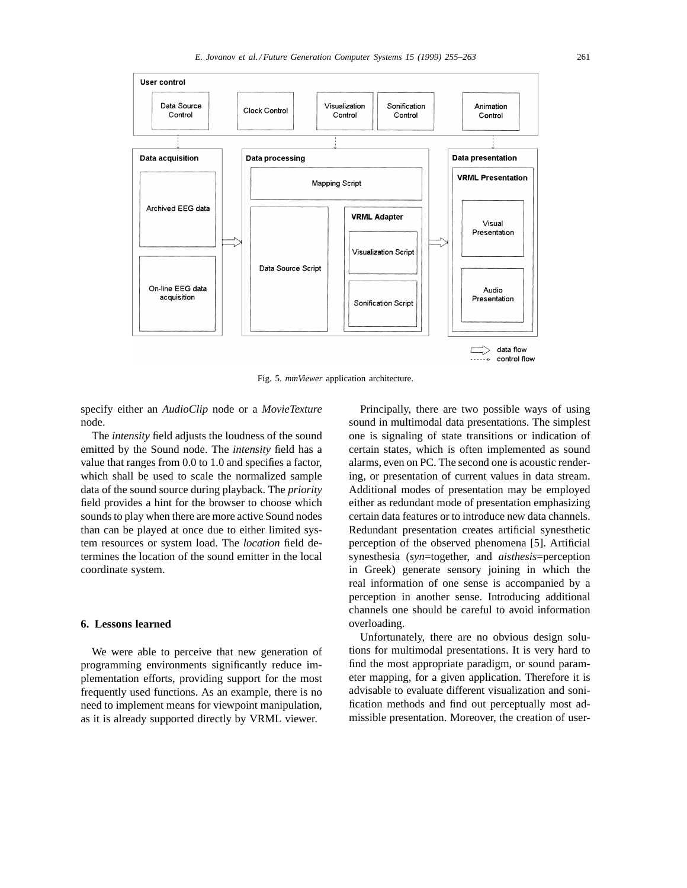

Fig. 5. *mmViewer* application architecture.

specify either an *AudioClip* node or a *MovieTexture* node.

The *intensity* field adjusts the loudness of the sound emitted by the Sound node. The *intensity* field has a value that ranges from 0.0 to 1.0 and specifies a factor, which shall be used to scale the normalized sample data of the sound source during playback. The *priority* field provides a hint for the browser to choose which sounds to play when there are more active Sound nodes than can be played at once due to either limited system resources or system load. The *location* field determines the location of the sound emitter in the local coordinate system.

# **6. Lessons learned**

We were able to perceive that new generation of programming environments significantly reduce implementation efforts, providing support for the most frequently used functions. As an example, there is no need to implement means for viewpoint manipulation, as it is already supported directly by VRML viewer.

Principally, there are two possible ways of using sound in multimodal data presentations. The simplest one is signaling of state transitions or indication of certain states, which is often implemented as sound alarms, even on PC. The second one is acoustic rendering, or presentation of current values in data stream. Additional modes of presentation may be employed either as redundant mode of presentation emphasizing certain data features or to introduce new data channels. Redundant presentation creates artificial synesthetic perception of the observed phenomena [5]. Artificial synesthesia (*syn*=together, and *aisthesis*=perception in Greek) generate sensory joining in which the real information of one sense is accompanied by a perception in another sense. Introducing additional channels one should be careful to avoid information overloading.

Unfortunately, there are no obvious design solutions for multimodal presentations. It is very hard to find the most appropriate paradigm, or sound parameter mapping, for a given application. Therefore it is advisable to evaluate different visualization and sonification methods and find out perceptually most admissible presentation. Moreover, the creation of user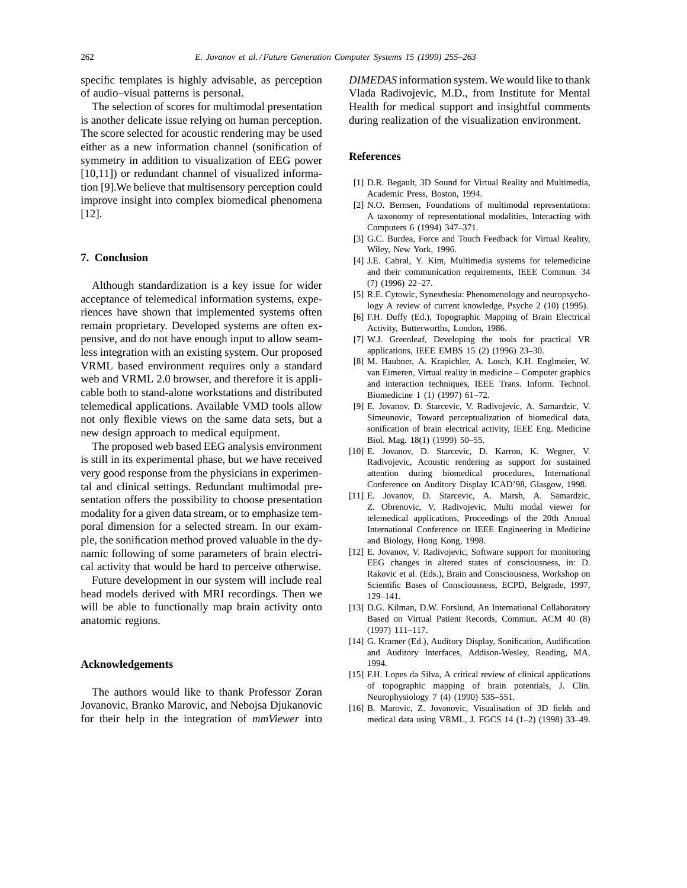specific templates is highly advisable, as perception of audio–visual patterns is personal.

The selection of scores for multimodal presentation is another delicate issue relying on human perception. The score selected for acoustic rendering may be used either as a new information channel (sonification of symmetry in addition to visualization of EEG power [10,11]) or redundant channel of visualized information [9].We believe that multisensory perception could improve insight into complex biomedical phenomena [12].

## **7. Conclusion**

Although standardization is a key issue for wider acceptance of telemedical information systems, experiences have shown that implemented systems often remain proprietary. Developed systems are often expensive, and do not have enough input to allow seamless integration with an existing system. Our proposed VRML based environment requires only a standard web and VRML 2.0 browser, and therefore it is applicable both to stand-alone workstations and distributed telemedical applications. Available VMD tools allow not only flexible views on the same data sets, but a new design approach to medical equipment.

The proposed web based EEG analysis environment is still in its experimental phase, but we have received very good response from the physicians in experimental and clinical settings. Redundant multimodal presentation offers the possibility to choose presentation modality for a given data stream, or to emphasize temporal dimension for a selected stream. In our example, the sonification method proved valuable in the dynamic following of some parameters of brain electrical activity that would be hard to perceive otherwise.

Future development in our system will include real head models derived with MRI recordings. Then we will be able to functionally map brain activity onto anatomic regions.

# **Acknowledgements**

The authors would like to thank Professor Zoran Jovanovic, Branko Marovic, and Nebojsa Djukanovic for their help in the integration of *mmViewer* into

*DIMEDAS* information system. We would like to thank Vlada Radivojevic, M.D., from Institute for Mental Health for medical support and insightful comments during realization of the visualization environment.

#### **References**

- [1] D.R. Begault, 3D Sound for Virtual Reality and Multimedia, Academic Press, Boston, 1994.
- [2] N.O. Bernsen, Foundations of multimodal representations: A taxonomy of representational modalities, Interacting with Computers 6 (1994) 347–371.
- [3] G.C. Burdea, Force and Touch Feedback for Virtual Reality, Wiley, New York, 1996.
- [4] J.E. Cabral, Y. Kim, Multimedia systems for telemedicine and their communication requirements, IEEE Commun. 34 (7) (1996) 22–27.
- [5] R.E. Cytowic, Synesthesia: Phenomenology and neuropsychology A review of current knowledge, Psyche 2 (10) (1995).
- [6] F.H. Duffy (Ed.), Topographic Mapping of Brain Electrical Activity, Butterworths, London, 1986.
- [7] W.J. Greenleaf, Developing the tools for practical VR applications, IEEE EMBS 15 (2) (1996) 23–30.
- [8] M. Haubner, A. Krapichler, A. Losch, K.H. Englmeier, W. van Eimeren, Virtual reality in medicine – Computer graphics and interaction techniques, IEEE Trans. Inform. Technol. Biomedicine 1 (1) (1997) 61–72.
- [9] E. Jovanov, D. Starcevic, V. Radivojevic, A. Samardzic, V. Simeunovic, Toward perceptualization of biomedical data, sonification of brain electrical activity, IEEE Eng. Medicine Biol. Mag. 18(1) (1999) 50–55.
- [10] E. Jovanov, D. Starcevic, D. Karron, K. Wegner, V. Radivojevic, Acoustic rendering as support for sustained attention during biomedical procedures, International Conference on Auditory Display ICAD'98, Glasgow, 1998.
- [11] E. Jovanov, D. Starcevic, A. Marsh, A. Samardzic, Z. Obrenovic, V. Radivojevic, Multi modal viewer for telemedical applications, Proceedings of the 20th Annual International Conference on IEEE Engineering in Medicine and Biology, Hong Kong, 1998.
- [12] E. Jovanov, V. Radivojevic, Software support for monitoring EEG changes in altered states of consciousness, in: D. Rakovic et al. (Eds.), Brain and Consciousness, Workshop on Scientific Bases of Consciousness, ECPD, Belgrade, 1997, 129–141.
- [13] D.G. Kilman, D.W. Forslund, An International Collaboratory Based on Virtual Patient Records, Commun. ACM 40 (8) (1997) 111–117.
- [14] G. Kramer (Ed.), Auditory Display, Sonification, Audification and Auditory Interfaces, Addison-Wesley, Reading, MA, 1994.
- [15] F.H. Lopes da Silva, A critical review of clinical applications of topographic mapping of brain potentials, J. Clin. Neurophysiology 7 (4) (1990) 535–551.
- [16] B. Marovic, Z. Jovanovic, Visualisation of 3D fields and medical data using VRML, J. FGCS 14 (1–2) (1998) 33–49.